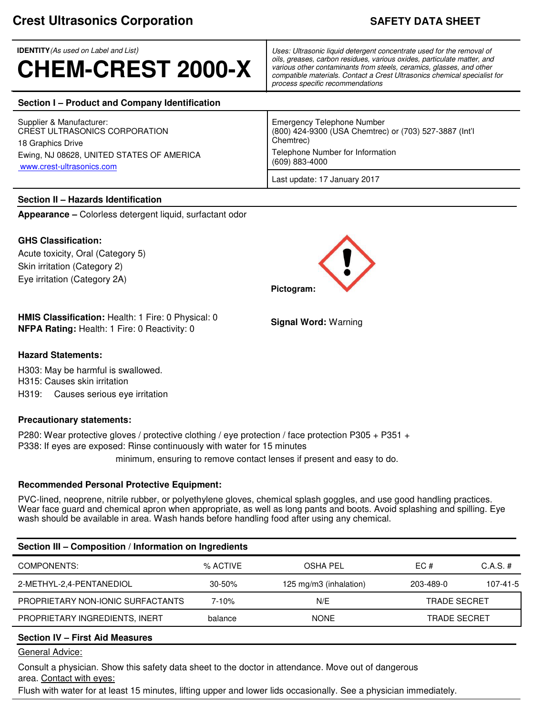**IDENTITY***(As used on Label and List)*

# **CHEM-CREST 2000-X**

*Uses: Ultrasonic liquid detergent concentrate used for the removal of oils, greases, carbon residues, various oxides, particulate matter, and various other contaminants from steels, ceramics, glasses, and other compatible materials. Contact a Crest Ultrasonics chemical specialist for process specific recommendations*

(800) 424-9300 (USA Chemtrec) or (703) 527-3887 (Int'l

# **Section I – Product and Company Identification**

Supplier & Manufacturer: <br>CREST ULTRASONICS CORPORATION THE RESOLUTION CREST ULTRASONICS CORPORATION 18 Graphics Drive Chemtrec) Ewing, NJ 08628, UNITED STATES OF AMERICA Telephone Number for Information<br>(609) 883-4000 www.crest-ultrasonics.com

# **Section II – Hazards Identification**

**Appearance –** Colorless detergent liquid, surfactant odor

# **GHS Classification:**

Acute toxicity, Oral (Category 5) Skin irritation (Category 2) Eye irritation (Category 2A)

**HMIS Classification:** Health: 1 Fire: 0 Physical: 0 **NFPA Rating:** Health: 1 Fire: 0 Reactivity: 0

# **Hazard Statements:**

H303: May be harmful is swallowed. H315: Causes skin irritation H319: Causes serious eye irritation

# **Precautionary statements:**

P280: Wear protective gloves / protective clothing / eye protection / face protection P305 + P351 + P338: If eyes are exposed: Rinse continuously with water for 15 minutes

minimum, ensuring to remove contact lenses if present and easy to do.

# **Recommended Personal Protective Equipment:**

PVC-lined, neoprene, nitrile rubber, or polyethylene gloves, chemical splash goggles, and use good handling practices. Wear face guard and chemical apron when appropriate, as well as long pants and boots. Avoid splashing and spilling. Eye wash should be available in area. Wash hands before handling food after using any chemical.

| Section III - Composition / Information on Ingredients |            |                        |                     |                |  |  |  |
|--------------------------------------------------------|------------|------------------------|---------------------|----------------|--|--|--|
| COMPONENTS:                                            | % ACTIVE   | OSHA PEL               | EC #                | $C.A.S. \#$    |  |  |  |
| 2-METHYL-2,4-PENTANEDIOL                               | $30 - 50%$ | 125 mg/m3 (inhalation) | 203-489-0           | $107 - 41 - 5$ |  |  |  |
| PROPRIETARY NON-IONIC SURFACTANTS                      | $7 - 10%$  | N/E                    | <b>TRADE SECRET</b> |                |  |  |  |
| PROPRIETARY INGREDIENTS, INERT                         | balance    | <b>NONE</b>            | <b>TRADE SECRET</b> |                |  |  |  |
|                                                        |            |                        |                     |                |  |  |  |

# **Section IV – First Aid Measures**

General Advice:

Consult a physician. Show this safety data sheet to the doctor in attendance. Move out of dangerous area. Contact with eyes:

Flush with water for at least 15 minutes, lifting upper and lower lids occasionally. See a physician immediately.



Last update: 17 January 2017

**Signal Word:** Warning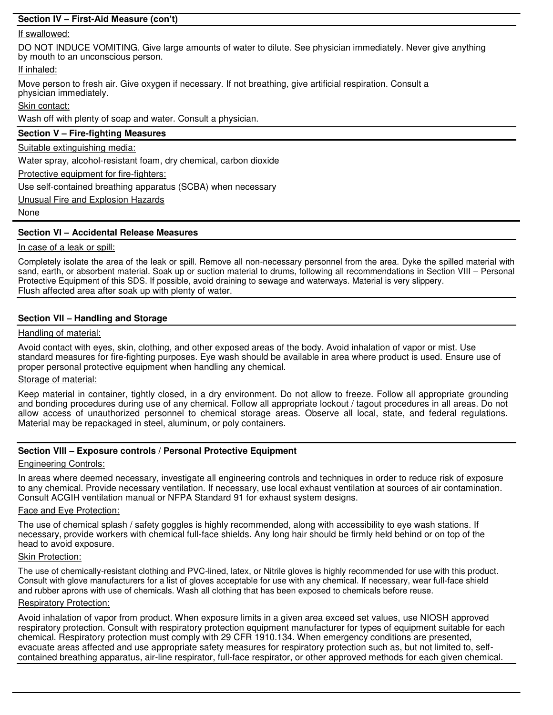# **Section IV – First-Aid Measure (con't)**

# If swallowed:

DO NOT INDUCE VOMITING. Give large amounts of water to dilute. See physician immediately. Never give anything by mouth to an unconscious person.

# If inhaled:

Move person to fresh air. Give oxygen if necessary. If not breathing, give artificial respiration. Consult a physician immediately.

# Skin contact:

Wash off with plenty of soap and water. Consult a physician.

# **Section V – Fire-fighting Measures**

Suitable extinguishing media:

Water spray, alcohol-resistant foam, dry chemical, carbon dioxide

Protective equipment for fire-fighters:

Use self-contained breathing apparatus (SCBA) when necessary

Unusual Fire and Explosion Hazards

None

## **Section VI – Accidental Release Measures**

#### In case of a leak or spill:

Completely isolate the area of the leak or spill. Remove all non-necessary personnel from the area. Dyke the spilled material with sand, earth, or absorbent material. Soak up or suction material to drums, following all recommendations in Section VIII – Personal Protective Equipment of this SDS. If possible, avoid draining to sewage and waterways. Material is very slippery. Flush affected area after soak up with plenty of water.

## **Section VII – Handling and Storage**

## Handling of material:

Avoid contact with eyes, skin, clothing, and other exposed areas of the body. Avoid inhalation of vapor or mist. Use standard measures for fire-fighting purposes. Eye wash should be available in area where product is used. Ensure use of proper personal protective equipment when handling any chemical.

## Storage of material:

Keep material in container, tightly closed, in a dry environment. Do not allow to freeze. Follow all appropriate grounding and bonding procedures during use of any chemical. Follow all appropriate lockout / tagout procedures in all areas. Do not allow access of unauthorized personnel to chemical storage areas. Observe all local, state, and federal regulations. Material may be repackaged in steel, aluminum, or poly containers.

## **Section VIII – Exposure controls / Personal Protective Equipment**

# Engineering Controls:

In areas where deemed necessary, investigate all engineering controls and techniques in order to reduce risk of exposure to any chemical. Provide necessary ventilation. If necessary, use local exhaust ventilation at sources of air contamination. Consult ACGIH ventilation manual or NFPA Standard 91 for exhaust system designs.

## Face and Eye Protection:

The use of chemical splash / safety goggles is highly recommended, along with accessibility to eye wash stations. If necessary, provide workers with chemical full-face shields. Any long hair should be firmly held behind or on top of the head to avoid exposure.

# Skin Protection:

The use of chemically-resistant clothing and PVC-lined, latex, or Nitrile gloves is highly recommended for use with this product. Consult with glove manufacturers for a list of gloves acceptable for use with any chemical. If necessary, wear full-face shield and rubber aprons with use of chemicals. Wash all clothing that has been exposed to chemicals before reuse.

## Respiratory Protection:

Avoid inhalation of vapor from product. When exposure limits in a given area exceed set values, use NIOSH approved respiratory protection. Consult with respiratory protection equipment manufacturer for types of equipment suitable for each chemical. Respiratory protection must comply with 29 CFR 1910.134. When emergency conditions are presented, evacuate areas affected and use appropriate safety measures for respiratory protection such as, but not limited to, selfcontained breathing apparatus, air-line respirator, full-face respirator, or other approved methods for each given chemical.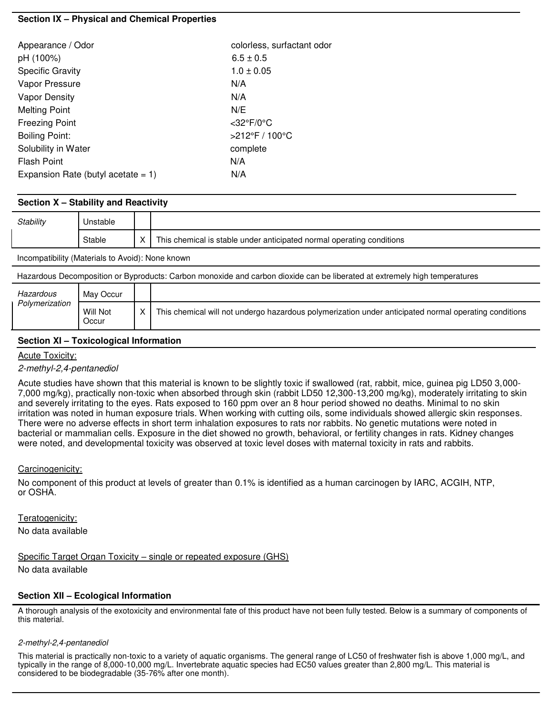# **Section IX – Physical and Chemical Properties**

| Appearance / Odor                     | colorless, surfactant odor |  |
|---------------------------------------|----------------------------|--|
| pH (100%)                             | $6.5 \pm 0.5$              |  |
| <b>Specific Gravity</b>               | $1.0 \pm 0.05$             |  |
| Vapor Pressure                        | N/A                        |  |
| <b>Vapor Density</b>                  | N/A                        |  |
| <b>Melting Point</b>                  | N/E                        |  |
| <b>Freezing Point</b>                 | $<$ 32°F/0°C               |  |
| <b>Boiling Point:</b>                 | >212°F / 100°C             |  |
| Solubility in Water                   | complete                   |  |
| <b>Flash Point</b>                    | N/A                        |  |
| Expansion Rate (butyl acetate $= 1$ ) | N/A                        |  |

# **Section X – Stability and Reactivity**

| Stability                                        | Unstable |   |                                                                       |
|--------------------------------------------------|----------|---|-----------------------------------------------------------------------|
|                                                  | Stable   | X | This chemical is stable under anticipated normal operating conditions |
| Incompatibility (Materials to Avoid): None known |          |   |                                                                       |

Hazardous Decomposition or Byproducts: Carbon monoxide and carbon dioxide can be liberated at extremely high temperatures

| Hazardous      | May Occur         |   |                                                                                                       |
|----------------|-------------------|---|-------------------------------------------------------------------------------------------------------|
| Polymerization | Will Not<br>Occur | x | This chemical will not undergo hazardous polymerization under anticipated normal operating conditions |

# **Section XI – Toxicological Information**

## Acute Toxicity:

## *2-methyl-2,4-pentanediol*

Acute studies have shown that this material is known to be slightly toxic if swallowed (rat, rabbit, mice, guinea pig LD50 3,000- 7,000 mg/kg), practically non-toxic when absorbed through skin (rabbit LD50 12,300-13,200 mg/kg), moderately irritating to skin and severely irritating to the eyes. Rats exposed to 160 ppm over an 8 hour period showed no deaths. Minimal to no skin irritation was noted in human exposure trials. When working with cutting oils, some individuals showed allergic skin responses. There were no adverse effects in short term inhalation exposures to rats nor rabbits. No genetic mutations were noted in bacterial or mammalian cells. Exposure in the diet showed no growth, behavioral, or fertility changes in rats. Kidney changes were noted, and developmental toxicity was observed at toxic level doses with maternal toxicity in rats and rabbits.

## Carcinogenicity:

No component of this product at levels of greater than 0.1% is identified as a human carcinogen by IARC, ACGIH, NTP, or OSHA.

Teratogenicity:

No data available

Specific Target Organ Toxicity – single or repeated exposure (GHS)

No data available

# **Section XII – Ecological Information**

A thorough analysis of the exotoxicity and environmental fate of this product have not been fully tested. Below is a summary of components of this material.

#### *2-methyl-2,4-pentanediol*

This material is practically non-toxic to a variety of aquatic organisms. The general range of LC50 of freshwater fish is above 1,000 mg/L, and typically in the range of 8,000-10,000 mg/L. Invertebrate aquatic species had EC50 values greater than 2,800 mg/L. This material is considered to be biodegradable (35-76% after one month).